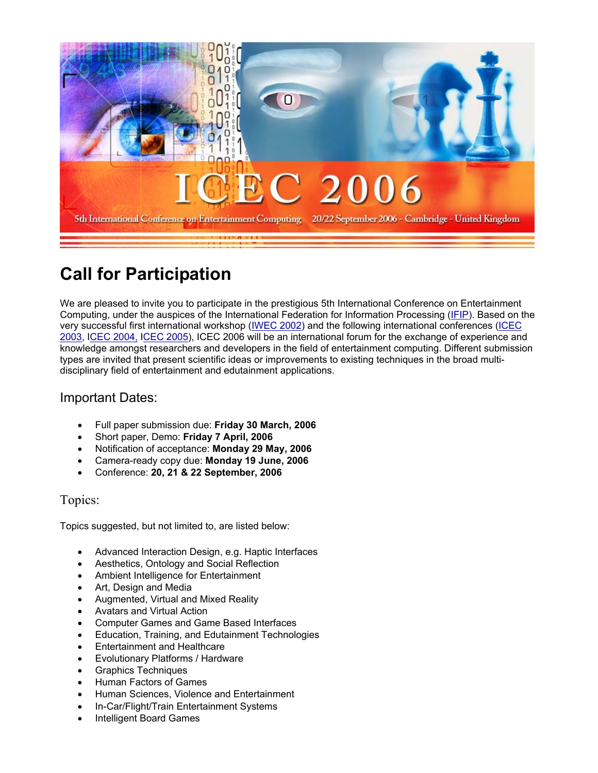

# **Call for Participation**

We are pleased to invite you to participate in the prestigious 5th International Conference on Entertainment Computing, under the auspices of the International Federation for Information Processing (IFIP). Based on the very successful first international workshop (IWEC 2002) and the following international conferences (ICEC 2003, ICEC 2004, ICEC 2005), ICEC 2006 will be an international forum for the exchange of experience and knowledge amongst researchers and developers in the field of entertainment computing. Different submission types are invited that present scientific ideas or improvements to existing techniques in the broad multidisciplinary field of entertainment and edutainment applications.

## Important Dates:

- Full paper submission due: **Friday 30 March, 2006**
- Short paper, Demo: **Friday 7 April, 2006**
- Notification of acceptance: **Monday 29 May, 2006**
- Camera-ready copy due: **Monday 19 June, 2006**
- Conference: **20, 21 & 22 September, 2006**

#### Topics:

Topics suggested, but not limited to, are listed below:

- Advanced Interaction Design, e.g. Haptic Interfaces
- Aesthetics, Ontology and Social Reflection
- Ambient Intelligence for Entertainment
- Art, Design and Media
- Augmented, Virtual and Mixed Reality
- Avatars and Virtual Action
- Computer Games and Game Based Interfaces
- Education, Training, and Edutainment Technologies
- Entertainment and Healthcare
- Evolutionary Platforms / Hardware
- Graphics Techniques
- Human Factors of Games
- Human Sciences, Violence and Entertainment
- In-Car/Flight/Train Entertainment Systems
- Intelligent Board Games